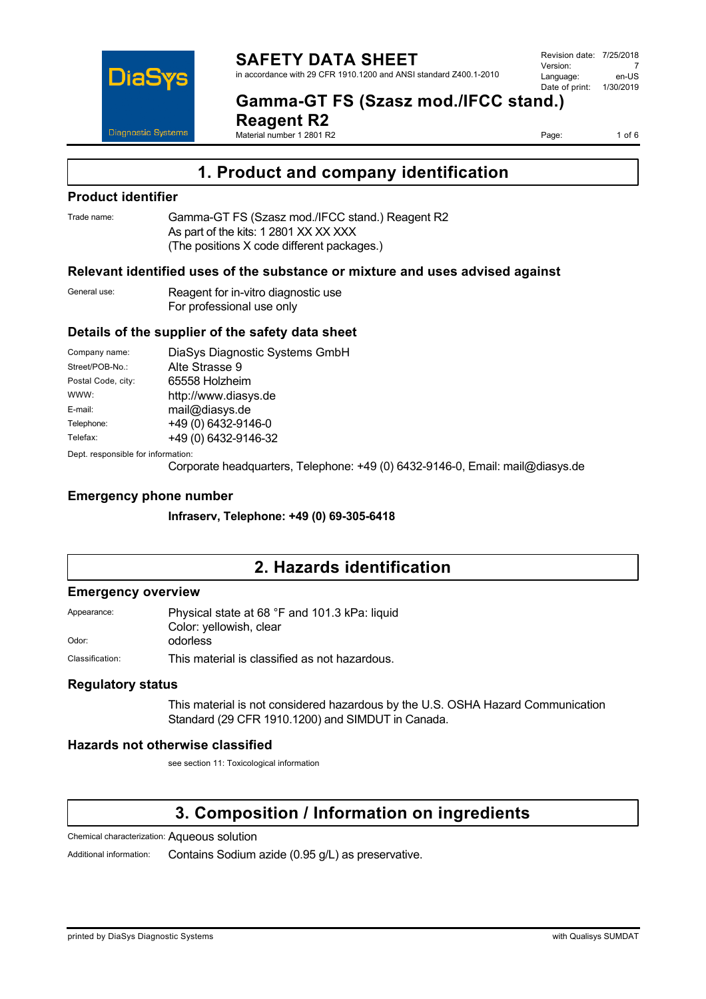

**Gamma-GT FS (Szasz mod./IFCC stand.)** 

**Reagent R2** Material number 1 2801 R2

Page: 1 of 6

# **1. Product and company identification**

### **Product identifier**

Trade name: Gamma-GT FS (Szasz mod./IFCC stand.) Reagent R2 As part of the kits: 1 2801 XX XX XXX (The positions X code different packages.)

### **Relevant identified uses of the substance or mixture and uses advised against**

General use: Reagent for in-vitro diagnostic use For professional use only

### **Details of the supplier of the safety data sheet**

| Company name:      | DiaSys Diagnostic Systems GmbH |
|--------------------|--------------------------------|
| Street/POB-No.:    | Alte Strasse 9                 |
| Postal Code, city: | 65558 Holzheim                 |
| WWW:               | http://www.diasys.de           |
| E-mail:            | mail@diasys.de                 |
| Telephone:         | +49 (0) 6432-9146-0            |
| Telefax:           | +49 (0) 6432-9146-32           |
|                    |                                |

Dept. responsible for information:

Corporate headquarters, Telephone: +49 (0) 6432-9146-0, Email: mail@diasys.de

### **Emergency phone number**

**Infraserv, Telephone: +49 (0) 69-305-6418**

## **2. Hazards identification**

### **Emergency overview**

| Appearance: | Physical state at 68 °F and 101.3 kPa: liquid |
|-------------|-----------------------------------------------|
|             | Color: yellowish, clear                       |
| Odor:       | odorless                                      |

Classification: This material is classified as not hazardous.

### **Regulatory status**

This material is not considered hazardous by the U.S. OSHA Hazard Communication Standard (29 CFR 1910.1200) and SIMDUT in Canada.

### **Hazards not otherwise classified**

see section 11: Toxicological information

# **3. Composition / Information on ingredients**

Chemical characterization: Aqueous solution

Additional information: Contains Sodium azide (0.95 g/L) as preservative.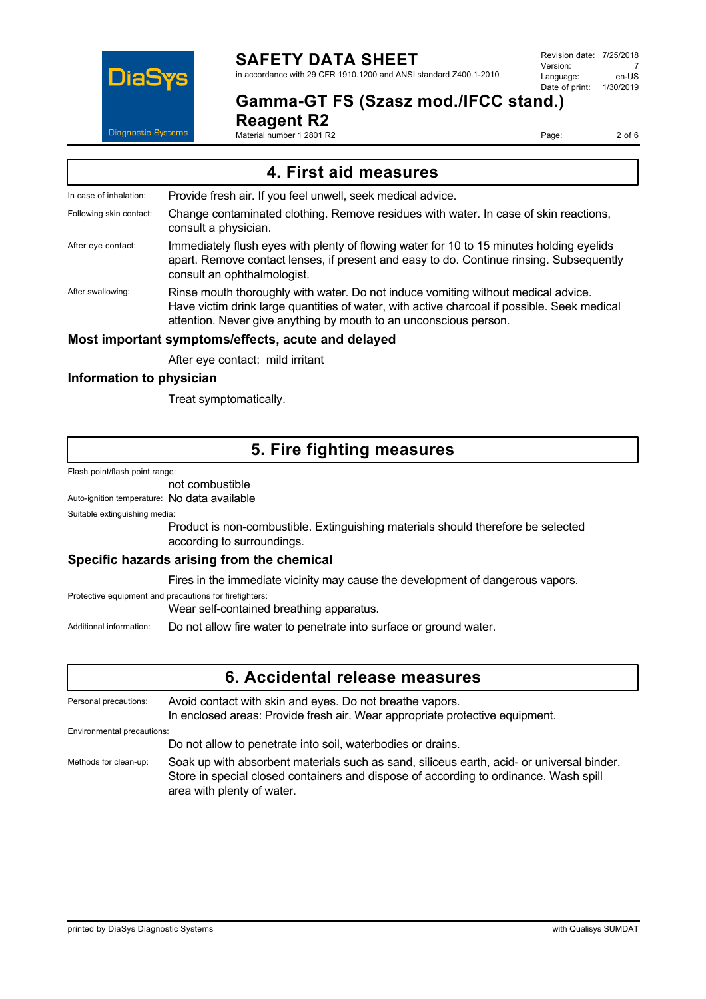

# **SAFETY DATA SHEET**

in accordance with 29 CFR 1910.1200 and ANSI standard Z400.1-2010

**Gamma-GT FS (Szasz mod./IFCC stand.)** 

**Reagent R2**

Material number 1 2801 R2

Page: 2 of 6

| 4. First aid measures                              |                                                                                                                                                                                                                                                       |  |
|----------------------------------------------------|-------------------------------------------------------------------------------------------------------------------------------------------------------------------------------------------------------------------------------------------------------|--|
| In case of inhalation:                             | Provide fresh air. If you feel unwell, seek medical advice.                                                                                                                                                                                           |  |
| Following skin contact:                            | Change contaminated clothing. Remove residues with water. In case of skin reactions,<br>consult a physician.                                                                                                                                          |  |
| After eye contact:                                 | Immediately flush eyes with plenty of flowing water for 10 to 15 minutes holding eyelids<br>apart. Remove contact lenses, if present and easy to do. Continue rinsing. Subsequently<br>consult an ophthalmologist.                                    |  |
| After swallowing:                                  | Rinse mouth thoroughly with water. Do not induce vomiting without medical advice.<br>Have victim drink large quantities of water, with active charcoal if possible. Seek medical<br>attention. Never give anything by mouth to an unconscious person. |  |
| Most important symptoms/effects, acute and delayed |                                                                                                                                                                                                                                                       |  |
|                                                    | After eye contact: mild irritant                                                                                                                                                                                                                      |  |
| Information to physician                           |                                                                                                                                                                                                                                                       |  |

Treat symptomatically.

## **5. Fire fighting measures**

Flash point/flash point range:

not combustible

Auto-ignition temperature: No data available

Suitable extinguishing media:

Product is non-combustible. Extinguishing materials should therefore be selected according to surroundings.

### **Specific hazards arising from the chemical**

Fires in the immediate vicinity may cause the development of dangerous vapors.

Protective equipment and precautions for firefighters:

Wear self-contained breathing apparatus.

Additional information: Do not allow fire water to penetrate into surface or ground water.

## **6. Accidental release measures**

| Personal precautions:      | Avoid contact with skin and eyes. Do not breathe vapors.<br>In enclosed areas: Provide fresh air. Wear appropriate protective equipment.                                                                        |  |
|----------------------------|-----------------------------------------------------------------------------------------------------------------------------------------------------------------------------------------------------------------|--|
| Environmental precautions: |                                                                                                                                                                                                                 |  |
|                            | Do not allow to penetrate into soil, waterbodies or drains.                                                                                                                                                     |  |
| Methods for clean-up:      | Soak up with absorbent materials such as sand, siliceus earth, acid- or universal binder.<br>Store in special closed containers and dispose of according to ordinance. Wash spill<br>area with plenty of water. |  |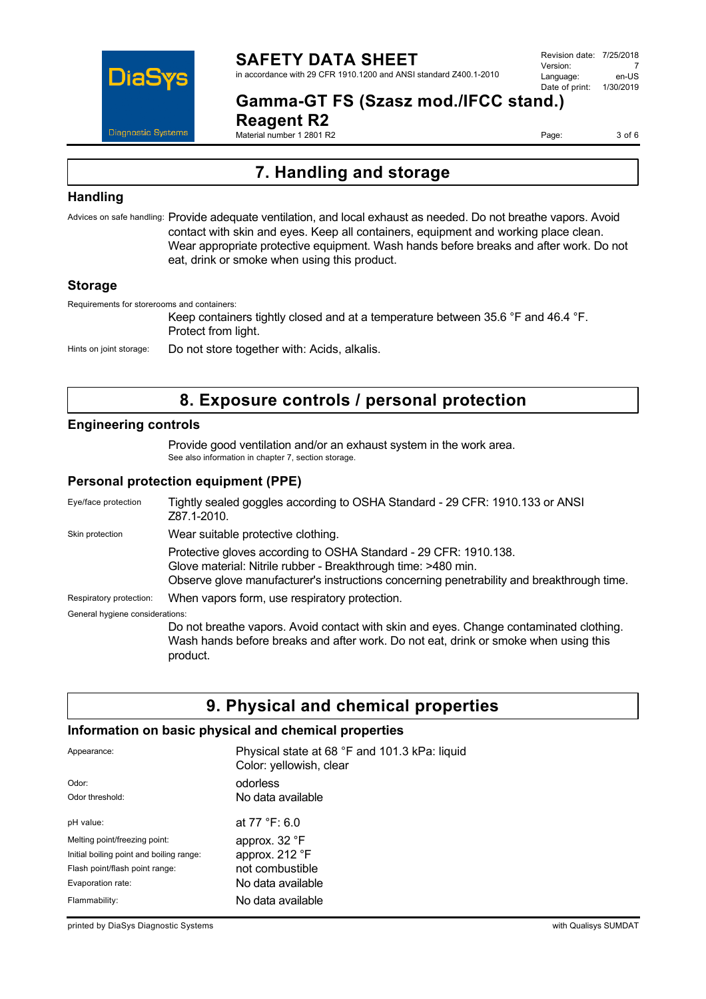

### **SAFETY DATA SHEET** in accordance with 29 CFR 1910.1200 and ANSI standard Z400.1-2010

Revision date: 7/25/2018 Version: 7<br>Language: en-LIS Language: Date of print: 1/30/2019

# **Gamma-GT FS (Szasz mod./IFCC stand.)**

**Reagent R2** Material number 1 2801 R2

Page: 3 of 6

# **7. Handling and storage**

### **Handling**

Advices on safe handling: Provide adequate ventilation, and local exhaust as needed. Do not breathe vapors. Avoid contact with skin and eyes. Keep all containers, equipment and working place clean. Wear appropriate protective equipment. Wash hands before breaks and after work. Do not eat, drink or smoke when using this product.

### **Storage**

Requirements for storerooms and containers:

Keep containers tightly closed and at a temperature between 35.6 °F and 46.4 °F. Protect from light.

Hints on joint storage: Do not store together with: Acids, alkalis.

# **8. Exposure controls / personal protection**

### **Engineering controls**

Provide good ventilation and/or an exhaust system in the work area. See also information in chapter 7, section storage.

### **Personal protection equipment (PPE)**

| Eye/face protection             | Tightly sealed goggles according to OSHA Standard - 29 CFR: 1910.133 or ANSI<br>Z87.1-2010.                                                                                                                                    |
|---------------------------------|--------------------------------------------------------------------------------------------------------------------------------------------------------------------------------------------------------------------------------|
| Skin protection                 | Wear suitable protective clothing.                                                                                                                                                                                             |
|                                 | Protective gloves according to OSHA Standard - 29 CFR: 1910.138.<br>Glove material: Nitrile rubber - Breakthrough time: >480 min.<br>Observe glove manufacturer's instructions concerning penetrability and breakthrough time. |
| Respiratory protection:         | When vapors form, use respiratory protection.                                                                                                                                                                                  |
| General hygiene considerations: |                                                                                                                                                                                                                                |
|                                 | Do not breathe vapors. Avoid contact with skin and eyes. Change contaminated clothing.<br>Wash hands before breaks and after work. Do not eat, drink or smoke when using this<br>product.                                      |

## **9. Physical and chemical properties**

### **Information on basic physical and chemical properties**

| Appearance:                              | Physical state at 68 °F and 101.3 kPa: liquid<br>Color: yellowish, clear |
|------------------------------------------|--------------------------------------------------------------------------|
| Odor:                                    | odorless                                                                 |
| Odor threshold:                          | No data available                                                        |
| pH value:                                | at $77 °F: 6.0$                                                          |
| Melting point/freezing point:            | approx. 32 °F                                                            |
| Initial boiling point and boiling range: | approx. 212 °F                                                           |
| Flash point/flash point range:           | not combustible                                                          |
| Evaporation rate:                        | No data available                                                        |
| Flammability:                            | No data available                                                        |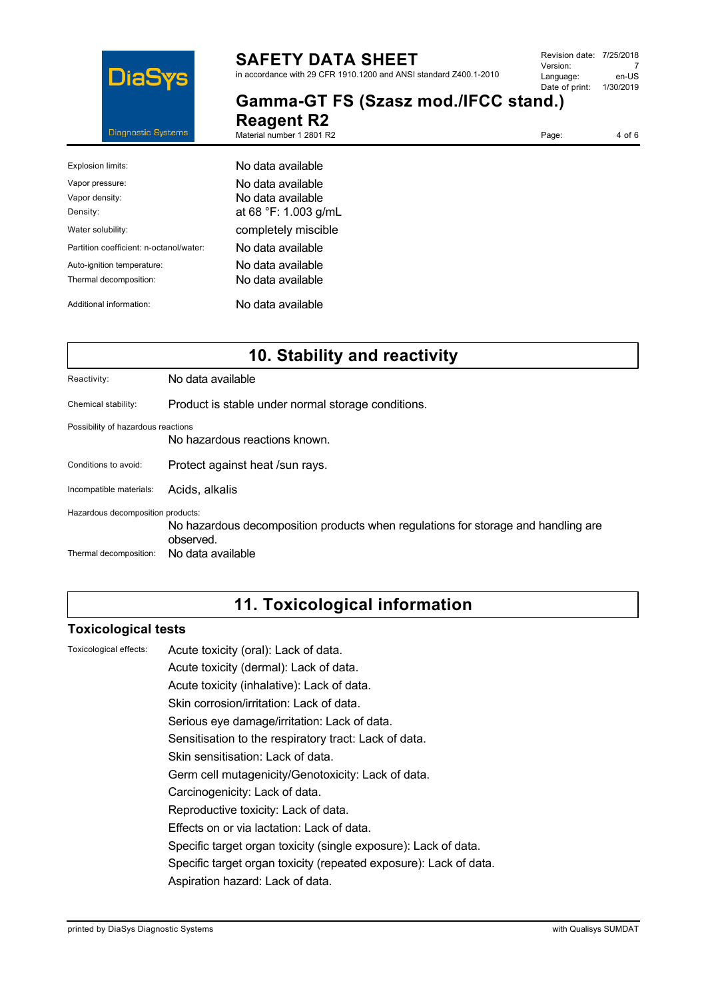

# **SAFETY DATA SHEET**

in accordance with 29 CFR 1910.1200 and ANSI standard Z400.1-2010

**Gamma-GT FS (Szasz mod./IFCC stand.)** 

**Reagent R2** Material number 1 2801 R2

Page: 4 of 6

| Explosion limits:                       | No data available    |
|-----------------------------------------|----------------------|
| Vapor pressure:                         | No data available    |
| Vapor density:                          | No data available    |
| Density:                                | at 68 °F: 1.003 g/mL |
| Water solubility:                       | completely miscible  |
| Partition coefficient: n-octanol/water: | No data available    |
| Auto-ignition temperature:              | No data available    |
| Thermal decomposition:                  | No data available    |
| Additional information:                 | No data available    |

# **10. Stability and reactivity**

Reactivity: No data available

Chemical stability: Product is stable under normal storage conditions.

Possibility of hazardous reactions

No hazardous reactions known.

Conditions to avoid: Protect against heat /sun rays.

Incompatible materials: Acids, alkalis

Hazardous decomposition products:

No hazardous decomposition products when regulations for storage and handling are observed. Thermal decomposition: No data available

# **11. Toxicological information**

### **Toxicological tests**

Toxicological effects: Acute toxicity (oral): Lack of data.

Acute toxicity (dermal): Lack of data.

Acute toxicity (inhalative): Lack of data.

Skin corrosion/irritation: Lack of data.

Serious eye damage/irritation: Lack of data.

Sensitisation to the respiratory tract: Lack of data.

Skin sensitisation: Lack of data.

Germ cell mutagenicity/Genotoxicity: Lack of data.

Carcinogenicity: Lack of data.

Reproductive toxicity: Lack of data.

Effects on or via lactation: Lack of data.

Specific target organ toxicity (single exposure): Lack of data.

Specific target organ toxicity (repeated exposure): Lack of data.

Aspiration hazard: Lack of data.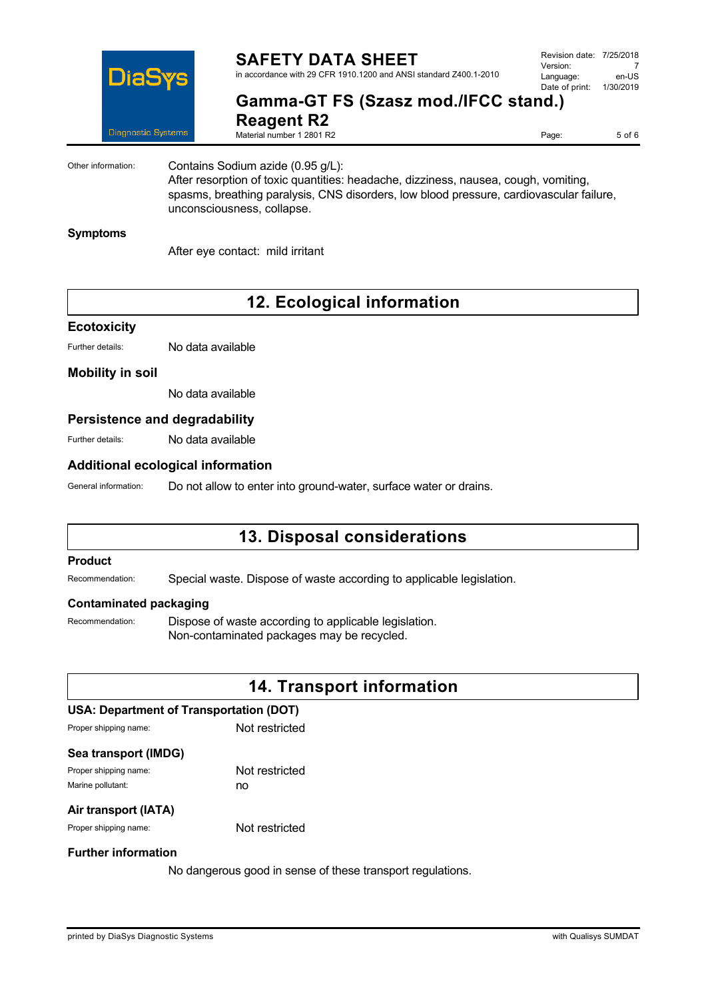

### **SAFETY DATA SHEET** in accordance with 29 CFR 1910.1200 and ANSI standard Z400.1-2010

Revision date: 7/25/2018 Version: 7<br>Language: en-LIS Language: en-US<br>Date of print: 1/30/2019  $Date$  of print:

## **Gamma-GT FS (Szasz mod./IFCC stand.) Reagent R2**

Material number 1 2801 R2

Page: 5 of 6

Other information: Contains Sodium azide (0.95 g/L): After resorption of toxic quantities: headache, dizziness, nausea, cough, vomiting,

spasms, breathing paralysis, CNS disorders, low blood pressure, cardiovascular failure, unconsciousness, collapse.

### **Symptoms**

After eye contact: mild irritant

# **12. Ecological information**

### **Ecotoxicity**

Further details: No data available

### **Mobility in soil**

No data available

### **Persistence and degradability**

Further details: No data available

### **Additional ecological information**

General information: Do not allow to enter into ground-water, surface water or drains.

# **13. Disposal considerations**

### **Product**

Recommendation: Special waste. Dispose of waste according to applicable legislation.

### **Contaminated packaging**

Recommendation: Dispose of waste according to applicable legislation. Non-contaminated packages may be recycled.

## **14. Transport information**

### **USA: Department of Transportation (DOT)**

Proper shipping name: Not restricted

### **Sea transport (IMDG)**

Proper shipping name: Not restricted Marine pollutant: no

### **Air transport (IATA)**

Proper shipping name: Not restricted

### **Further information**

No dangerous good in sense of these transport regulations.